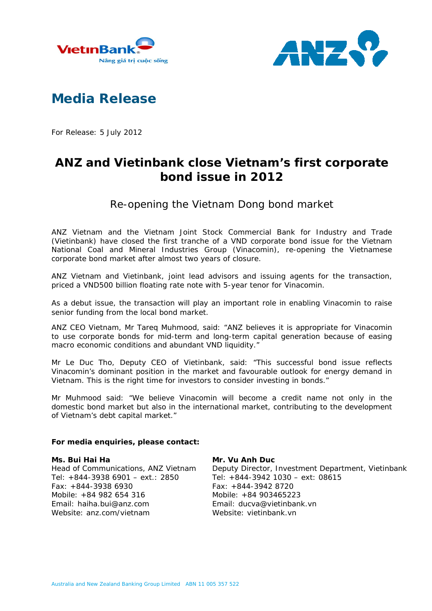



# **Media Release**

For Release: 5 July 2012

# **ANZ and Vietinbank close Vietnam's first corporate bond issue in 2012**

Re-opening the Vietnam Dong bond market

ANZ Vietnam and the Vietnam Joint Stock Commercial Bank for Industry and Trade (Vietinbank) have closed the first tranche of a VND corporate bond issue for the Vietnam National Coal and Mineral Industries Group (Vinacomin), re-opening the Vietnamese corporate bond market after almost two years of closure.

ANZ Vietnam and Vietinbank, joint lead advisors and issuing agents for the transaction, priced a VND500 billion floating rate note with 5-year tenor for Vinacomin.

As a debut issue, the transaction will play an important role in enabling Vinacomin to raise senior funding from the local bond market.

ANZ CEO Vietnam, Mr Tareq Muhmood, said: "ANZ believes it is appropriate for Vinacomin to use corporate bonds for mid-term and long-term capital generation because of easing macro economic conditions and abundant VND liquidity."

Mr Le Duc Tho, Deputy CEO of Vietinbank, said: "This successful bond issue reflects Vinacomin's dominant position in the market and favourable outlook for energy demand in Vietnam. This is the right time for investors to consider investing in bonds."

Mr Muhmood said: "We believe Vinacomin will become a credit name not only in the domestic bond market but also in the international market, contributing to the development of Vietnam's debt capital market."

#### **For media enquiries, please contact:**

#### **Ms. Bui Hai Ha**

Head of Communications, ANZ Vietnam Tel: +844-3938 6901 – ext.: 2850 Fax: +844-3938 6930 Mobile: +84 982 654 316 Email: haiha.bui@anz.com Website: anz.com/vietnam

## **Mr. Vu Anh Duc**

Deputy Director, Investment Department, Vietinbank Tel: +844-3942 1030 – ext: 08615 Fax: +844-3942 8720 Mobile: +84 903465223 Email: ducva@vietinbank.vn Website: vietinbank.vn